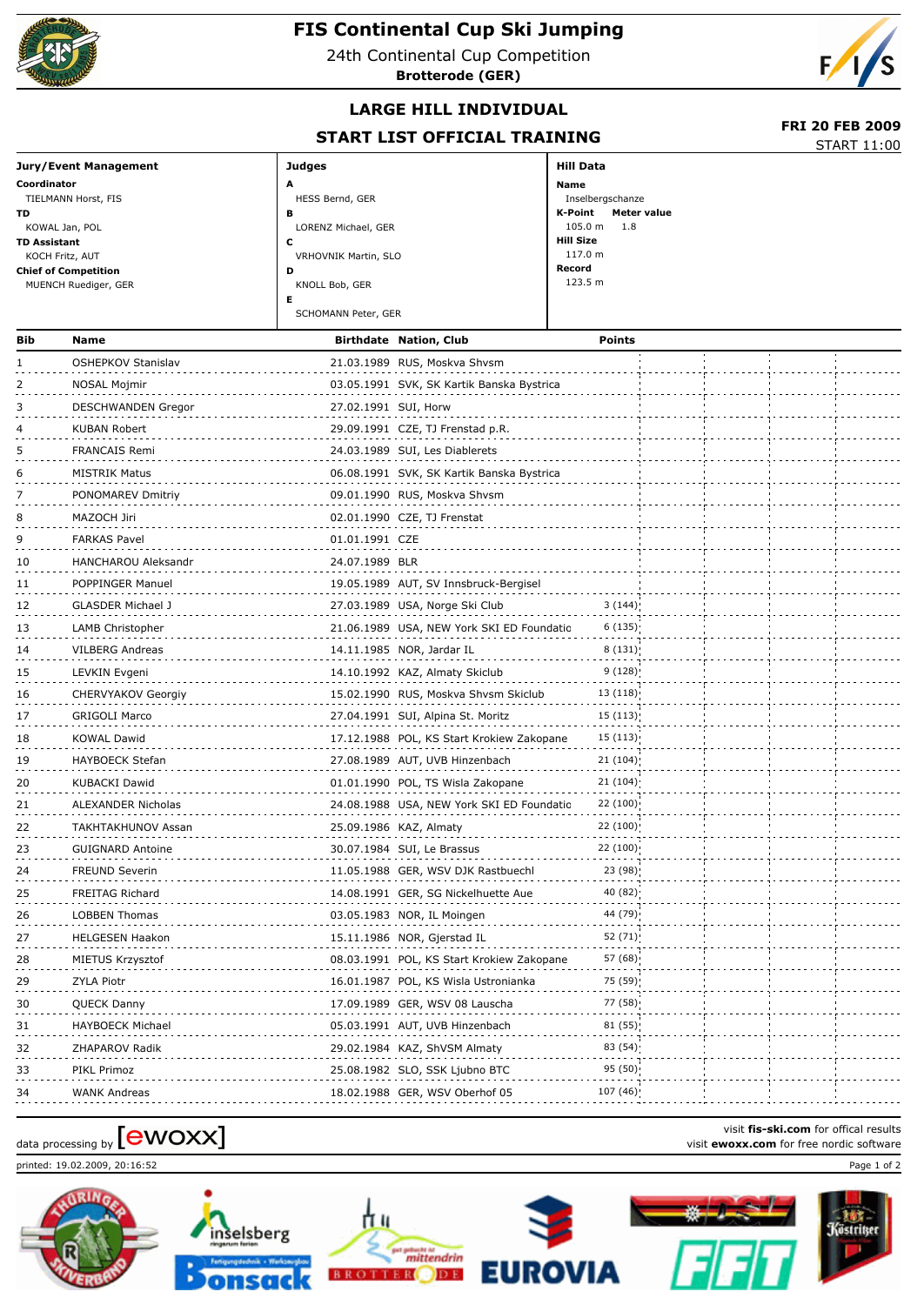

## **FIS Continental Cup Ski Jumping**

24th Continental Cup Competition





## **LARGE HILL INDIVIDUAL**

## **START LIST OFFICIAL TRAINING**<br>START 11:00

 **FRI 20 FEB 2009**

|                             | <b>STANT LIST OFFICIAL INAITING</b> |                        | <b>START 11:00</b> |
|-----------------------------|-------------------------------------|------------------------|--------------------|
| Jury/Event Management       | Judges                              | Hill Data              |                    |
| Coordinator                 | A                                   | Name                   |                    |
| TIELMANN Horst, FIS         | HESS Bernd, GER                     | Inselbergschanze       |                    |
| TD                          | в                                   | K-Point<br>Meter value |                    |
| KOWAL Jan, POL              | LORENZ Michael, GER                 | $105.0 m$ 1.8          |                    |
| TD Assistant                | u                                   | <b>Hill Size</b>       |                    |
| KOCH Fritz, AUT             | VRHOVNIK Martin, SLO                | 117.0 m                |                    |
| <b>Chief of Competition</b> | D                                   | Record                 |                    |
| MUENCH Ruediger, GER        | KNOLL Bob, GER                      | 123.5 m                |                    |
|                             | Е                                   |                        |                    |
|                             | SCHOMANN Peter, GER                 |                        |                    |
|                             |                                     |                        |                    |

| Bib | Name                      |                      | <b>Birthdate Nation, Club</b>             | <b>Points</b> |  |
|-----|---------------------------|----------------------|-------------------------------------------|---------------|--|
|     | OSHEPKOV Stanislav        |                      | 21.03.1989 RUS, Moskva Shvsm              |               |  |
| 2   | NOSAL Mojmir              |                      | 03.05.1991 SVK, SK Kartik Banska Bystrica |               |  |
| 3   | DESCHWANDEN Gregor        | 27.02.1991 SUI, Horw |                                           |               |  |
| 4   | KUBAN Robert              |                      | 29.09.1991 CZE, TJ Frenstad p.R.          |               |  |
|     | <b>FRANCAIS Remi</b>      |                      | 24.03.1989 SUI, Les Diablerets            |               |  |
| 6   | <b>MISTRIK Matus</b>      |                      | 06.08.1991 SVK, SK Kartik Banska Bystrica |               |  |
|     | PONOMAREV Dmitriy         |                      | 09.01.1990 RUS, Moskva Shvsm              |               |  |
| 8   | MAZOCH Jiri               |                      | 02.01.1990 CZE, TJ Frenstat               |               |  |
| ۹   | <b>FARKAS Pavel</b>       | 01.01.1991 CZE       |                                           |               |  |
| 10  | HANCHAROU Aleksandr       | 24.07.1989 BLR       |                                           |               |  |
| 11  | POPPINGER Manuel          |                      | 19.05.1989 AUT, SV Innsbruck-Bergisel     |               |  |
| 12  | GLASDER Michael J         |                      | 27.03.1989 USA, Norge Ski Club            | 3(144)        |  |
| 13  | LAMB Christopher          |                      | 21.06.1989 USA, NEW York SKI ED Foundatio | 6(135)        |  |
| 14  | VILBERG Andreas           |                      | 14.11.1985 NOR, Jardar IL                 | 8(131)        |  |
| 15  | LEVKIN Evgeni             |                      | 14.10.1992 KAZ, Almaty Skiclub            | 9(128)        |  |
| 16  | <b>CHERVYAKOV Georgiy</b> |                      | 15.02.1990 RUS, Moskva Shvsm Skiclub      | 13(118)       |  |
| 17  | <b>GRIGOLI Marco</b>      |                      | 27.04.1991 SUI, Alpina St. Moritz         | 15(113)       |  |
| 18  | <b>KOWAL Dawid</b>        |                      | 17.12.1988 POL, KS Start Krokiew Zakopane | 15(113)       |  |
| 19  | <b>HAYBOECK Stefan</b>    |                      | 27.08.1989 AUT, UVB Hinzenbach            | 21(104)       |  |
| 20  | <b>KUBACKI Dawid</b>      |                      | 01.01.1990 POL, TS Wisla Zakopane         | 21(104)       |  |
| 21  | ALEXANDER Nicholas        |                      | 24.08.1988 USA, NEW York SKI ED Foundatio | 22(100)       |  |
| 22  | TAKHTAKHUNOV Assan        |                      | 25.09.1986 KAZ, Almaty                    | 22 (100)      |  |
| 23  | <b>GUIGNARD Antoine</b>   |                      | 30.07.1984 SUI, Le Brassus                | 22 (100)      |  |
| 24  | <b>FREUND Severin</b>     |                      | 11.05.1988 GER, WSV DJK Rastbuechl        | 23 (98)       |  |
| 25  | <b>FREITAG Richard</b>    |                      | 14.08.1991 GER, SG Nickelhuette Aue       | 40 (82):      |  |
| 26  | <b>LOBBEN Thomas</b>      |                      | 03.05.1983 NOR, IL Moingen                | 44 (79)       |  |
| 27  | <b>HELGESEN Haakon</b>    |                      | 15.11.1986 NOR, Gjerstad IL               | 52(71)        |  |
| 28  | MIETUS Krzysztof          |                      | 08.03.1991 POL, KS Start Krokiew Zakopane | 57 (68)       |  |
| 29  | ZYLA Piotr                |                      | 16.01.1987 POL, KS Wisla Ustronianka      | 75 (59)       |  |
| 30  | QUECK Danny               |                      | 17.09.1989 GER, WSV 08 Lauscha            | 77 (58):      |  |
| 31  | HAYBOECK Michael          |                      | 05.03.1991 AUT, UVB Hinzenbach            | 81(55)        |  |
| 32  | ZHAPAROV Radik            |                      | 29.02.1984 KAZ, ShVSM Almaty              | 83 (54)       |  |
| 33  | PIKL Primoz               |                      | 25.08.1982 SLO, SSK Ljubno BTC            | 95 (50)       |  |
| 34  | <b>WANK Andreas</b>       |                      | 18.02.1988 GER, WSV Oberhof 05            | 107 (46)      |  |

## visit **fis-ski.com** for offical results<br>visit **ewoxx.com** for free nordic software<br>visit **ewoxx.com** for free nordic software

printed: 19.02.2009, 20:16:52 Page 1 of 2











visit **fis-ski.com** for offical results